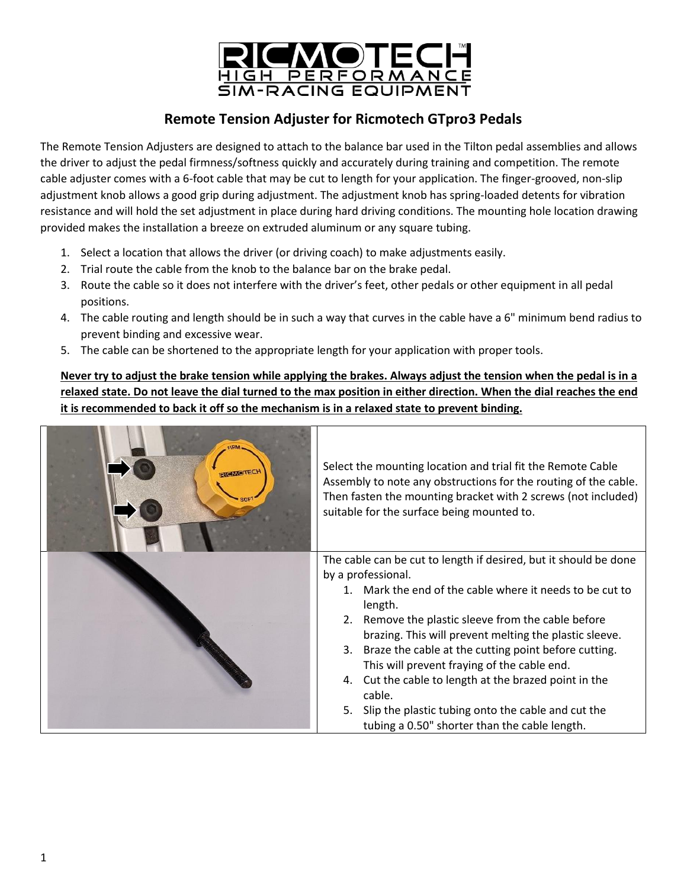

## **Remote Tension Adjuster for Ricmotech GTpro3 Pedals**

The Remote Tension Adjusters are designed to attach to the balance bar used in the Tilton pedal assemblies and allows the driver to adjust the pedal firmness/softness quickly and accurately during training and competition. The remote cable adjuster comes with a 6-foot cable that may be cut to length for your application. The finger-grooved, non-slip adjustment knob allows a good grip during adjustment. The adjustment knob has spring-loaded detents for vibration resistance and will hold the set adjustment in place during hard driving conditions. The mounting hole location drawing provided makes the installation a breeze on extruded aluminum or any square tubing.

- 1. Select a location that allows the driver (or driving coach) to make adjustments easily.
- 2. Trial route the cable from the knob to the balance bar on the brake pedal.
- 3. Route the cable so it does not interfere with the driver's feet, other pedals or other equipment in all pedal positions.
- 4. The cable routing and length should be in such a way that curves in the cable have a 6" minimum bend radius to prevent binding and excessive wear.
- 5. The cable can be shortened to the appropriate length for your application with proper tools.

**Never try to adjust the brake tension while applying the brakes. Always adjust the tension when the pedal is in a relaxed state. Do not leave the dial turned to the max position in either direction. When the dial reaches the end it is recommended to back it off so the mechanism is in a relaxed state to prevent binding.**